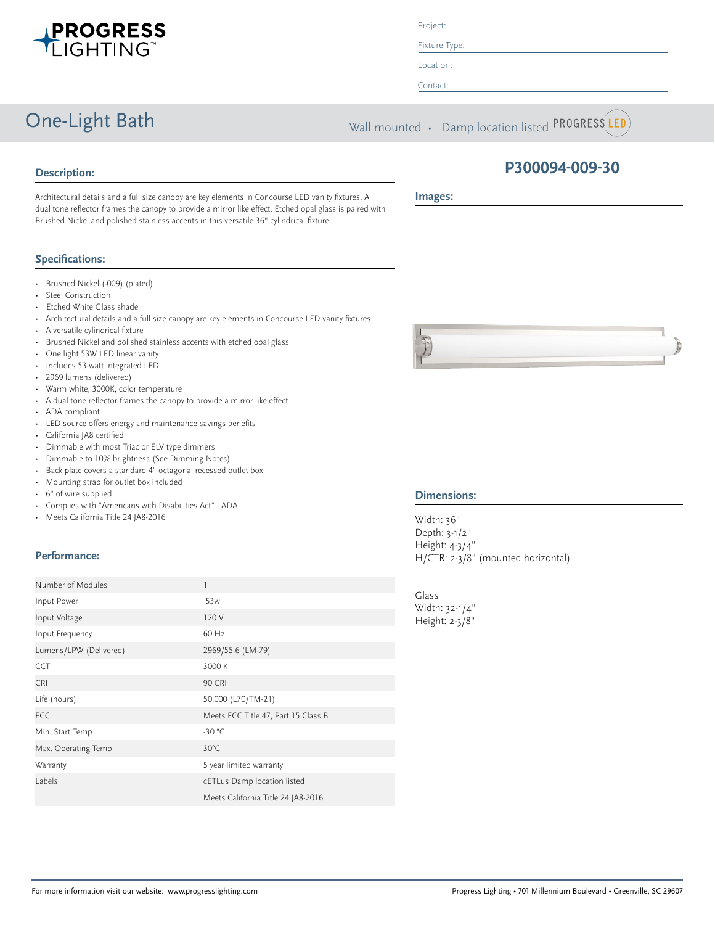

One-Light Bath Wall mounted • Damp location listed PROGRESS LED



Architectural details and a full size canopy are key elements in Concourse LED vanity fixtures. A dual tone reflector frames the canopy to provide a mirror like effect. Etched opal glass is paired with Brushed Nickel and polished stainless accents in this versatile 36" cylindrical fixture.

### **Specifications:**

- Brushed Nickel (-009) (plated)
- Steel Construction
- Etched White Glass shade
- Architectural details and a full size canopy are key elements in Concourse LED vanity fixtures
- A versatile cylindrical fixture
- Brushed Nickel and polished stainless accents with etched opal glass
- One light 53W LED linear vanity
- Includes 53-watt integrated LED
- 2969 lumens (delivered)
- Warm white, 3000K, color temperature
- A dual tone reflector frames the canopy to provide a mirror like effect
- ADA compliant
- LED source offers energy and maintenance savings benefits
- California JA8 certified
- Dimmable with most Triac or ELV type dimmers
- Dimmable to 10% brightness (See Dimming Notes)
- Back plate covers a standard 4" octagonal recessed outlet box
- Mounting strap for outlet box included
- 6" of wire supplied
- Complies with "Americans with Disabilities Act" ADA
- Meets California Title 24 JA8-2016

## **Performance:**

| Number of Modules      |                                     |  |
|------------------------|-------------------------------------|--|
| Input Power            | 53 <sub>w</sub>                     |  |
| Input Voltage          | 120 V                               |  |
| Input Frequency        | 60 Hz                               |  |
| Lumens/LPW (Delivered) | 2969/55.6 (LM-79)                   |  |
| <b>CCT</b>             | 3000 K                              |  |
| <b>CRI</b>             | <b>90 CRI</b>                       |  |
| Life (hours)           | 50,000 (L70/TM-21)                  |  |
| <b>FCC</b>             | Meets FCC Title 47, Part 15 Class B |  |
| Min. Start Temp        | $-30 °C$                            |  |
| Max. Operating Temp    | $30^{\circ}$ C                      |  |
| Warranty               | 5 year limited warranty             |  |
| Labels                 | cETLus Damp location listed         |  |
|                        | Meets California Title 24 JA8-2016  |  |

# **P300094-009-30**

**Images:**

Project: Fixture Type: Location: Contact:



#### **Dimensions:**

Width: 36" Depth: 3-1/2" Height: 4-3/4" H/CTR: 2-3/8" (mounted horizontal)

Glass Width: 32-1/4" Height: 2-3/8"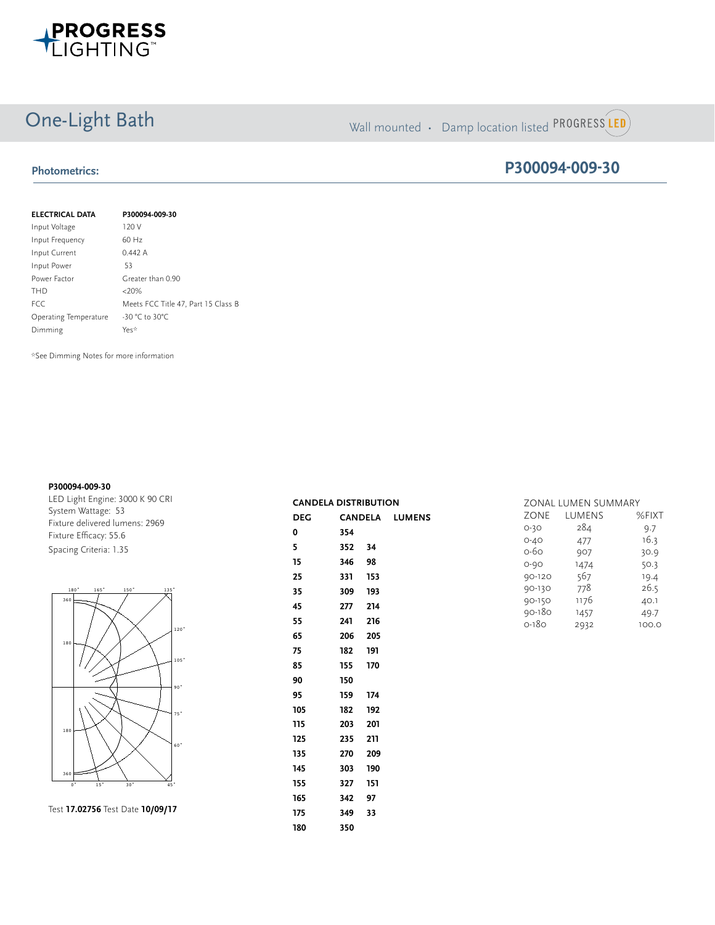

# One-Light Bath Wall mounted • Damp location listed PROGRESS LED

## **Photometrics:**

## **P300094-009-30**

| <b>ELECTRICAL DATA</b> | P300094-009-30                      |
|------------------------|-------------------------------------|
| Input Voltage          | 120 V                               |
| Input Frequency        | $60$ Hz                             |
| Input Current          | 0.442A                              |
| Input Power            | 53                                  |
| Power Factor           | Greater than 0.90                   |
| <b>THD</b>             | $<20\%$                             |
| <b>FCC</b>             | Meets FCC Title 47, Part 15 Class B |
| Operating Temperature  | $-30 °C$ to 30°C                    |
| Dimming                | Yes*                                |

\*See Dimming Notes for more information

#### **P300094-009-30**

LED Light Engine: 3000 K 90 CRI System Wattage: 53 Fixture delivered lumens: 2969 Fixture Efficacy: 55.6 Spacing Criteria: 1.35



0˚ 15˚ 30˚ Test **17.02756** Test Date **10/09/17**

| <b>CANDELA DISTRIBUTION</b> |        |         |                       |
|-----------------------------|--------|---------|-----------------------|
| DEG                         |        |         | <b>CANDELA LUMENS</b> |
| 0                           | 354    |         |                       |
| 5                           | 352 34 |         |                       |
| 15                          | 346 98 |         |                       |
| 25                          | 331    | 153     |                       |
| 35                          | 309    | 193     |                       |
| 45                          | 277    | 214     |                       |
| 55                          | 241    | 216     |                       |
| 65                          |        | 206 205 |                       |
| 75                          | 182    | 191     |                       |
| 85                          | 155    | 170     |                       |
| 90                          | 150    |         |                       |
| 95                          | 159 -  | 174     |                       |
| 105                         | 182    | 192     |                       |
| 115                         | 203    | 201     |                       |
| 125                         | 235    | 211     |                       |
| 135                         | 270    | 209     |                       |
| 145                         | 303    | 190     |                       |
| 155                         | 327    | 151     |                       |
| 165                         | 342    | 97      |                       |
| 175                         | 349    | 33      |                       |
| 180                         | 350    |         |                       |
|                             |        |         |                       |

|          | ZONAL LUMEN SUMMARY |       |  |
|----------|---------------------|-------|--|
| ZONE     | LUMENS              | %FIXT |  |
| $O-3O$   | 284                 | 9.7   |  |
| $O - 4O$ | 477                 | 16.3  |  |
| 0-60     | 907                 | 30.9  |  |
| $O - 9O$ | 1474                | 50.3  |  |
| 90-120   | 567                 | 19.4  |  |
| 90-130   | 778                 | 26.5  |  |
| 90-150   | 1176                | 40.1  |  |
| 90-180   | 1457                | 49.7  |  |
| 0-180    | 2932                | 100.0 |  |